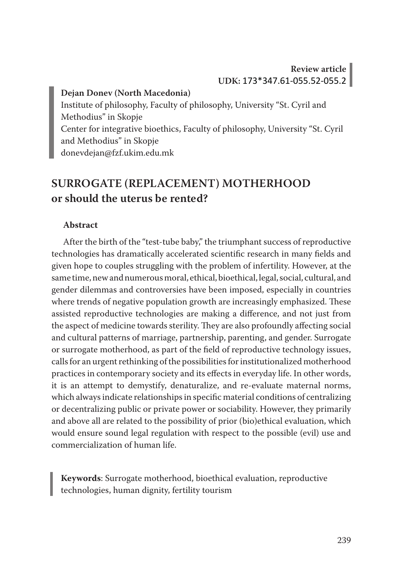## **Review article UDK:** 173\*347.61-055.52-055.2

#### **Dejan Donev (North Macedonia)**

Institute of philosophy, Faculty of philosophy, University "St. Cyril and Methodius" in Skopje Center for integrative bioethics, Faculty of philosophy, University "St. Cyril and Methodius" in Skopje donevdejan@fzf.ukim.edu.mk

# **SURROGATE (REPLACEMENT) MOTHERHOOD or should the uterus be rented?**

#### **Abstract**

After the birth of the "test-tube baby," the triumphant success of reproductive technologies has dramatically accelerated scientific research in many fields and given hope to couples struggling with the problem of infertility. However, at the same time, new and numerous moral, ethical, bioethical, legal, social, cultural, and gender dilemmas and controversies have been imposed, especially in countries where trends of negative population growth are increasingly emphasized. These assisted reproductive technologies are making a difference, and not just from the aspect of medicine towards sterility. They are also profoundly affecting social and cultural patterns of marriage, partnership, parenting, and gender. Surrogate or surrogate motherhood, as part of the field of reproductive technology issues, calls for an urgent rethinking of the possibilities for institutionalized motherhood practices in contemporary society and its effects in everyday life. In other words, it is an attempt to demystify, denaturalize, and re-evaluate maternal norms, which always indicate relationships in specific material conditions of centralizing or decentralizing public or private power or sociability. However, they primarily and above all are related to the possibility of prior (bio)ethical evaluation, which would ensure sound legal regulation with respect to the possible (evil) use and commercialization of human life.

**Keywords**: Surrogate motherhood, bioethical evaluation, reproductive technologies, human dignity, fertility tourism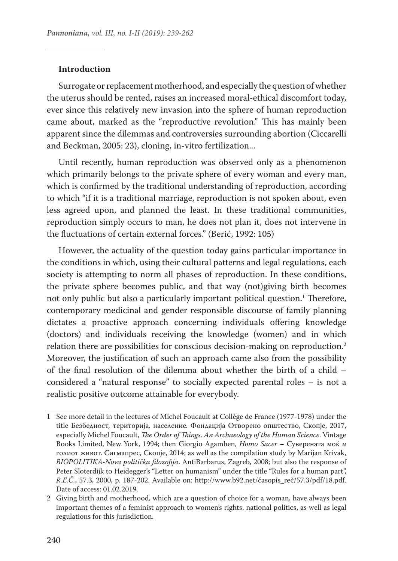#### **Introduction**

Surrogate or replacement motherhood, and especially the question of whether the uterus should be rented, raises an increased moral-ethical discomfort today, ever since this relatively new invasion into the sphere of human reproduction came about, marked as the "reproductive revolution." This has mainly been apparent since the dilemmas and controversies surrounding abortion (Ciccarelli and Beckman, 2005: 23), cloning, in-vitro fertilization...

Until recently, human reproduction was observed only as a phenomenon which primarily belongs to the private sphere of every woman and every man, which is confirmed by the traditional understanding of reproduction, according to which "if it is a traditional marriage, reproduction is not spoken about, even less agreed upon, and planned the least. In these traditional communities, reproduction simply occurs to man, he does not plan it, does not intervene in the fluctuations of certain external forces." (Berić, 1992: 105)

However, the actuality of the question today gains particular importance in the conditions in which, using their cultural patterns and legal regulations, each society is attempting to norm all phases of reproduction. In these conditions, the private sphere becomes public, and that way (not)giving birth becomes not only public but also a particularly important political question.<sup>1</sup> Therefore, contemporary medicinal and gender responsible discourse of family planning dictates a proactive approach concerning individuals offering knowledge (doctors) and individuals receiving the knowledge (women) and in which relation there are possibilities for conscious decision-making on reproduction.<sup>2</sup> Moreover, the justification of such an approach came also from the possibility of the final resolution of the dilemma about whether the birth of a child – considered a "natural response" to socially expected parental roles – is not a realistic positive outcome attainable for everybody.

<sup>1</sup> See more detail in the lectures of Michel Foucault at Collège de France (1977-1978) under the title Безбедност*,* територија*,* население*.* Фондација Отворено општество, Скопје, 2017, especially Michel Foucault, *The Order of Things. An Archaeology of the Human Science*. Vintage Books Limited, New York, 1994; then Giorgio Agamben, *Homo Sacer –* Суверената моќ *и*  голиот живот. Сигмапрес, Скопје, 2014; as well as the compilation study by Marijan Krivak, *BIOPOLITIKA-Nova politička filozofija*. AntiBarbarus, Zagreb, 2008; but also the response of Peter Sloterdijk to Heidegger's "Letter on humanism" under the title "Rules for a human part", *R.E.Č.*, 57.3, 2000, p. 187-202. Available on: http://www.b92.net/časopis\_reč/57.3/pdf/18.pdf. Date of access: 01.02.2019.

<sup>2</sup> Giving birth and motherhood, which are a question of choice for a woman, have always been important themes of a feminist approach to women's rights, national politics, as well as legal regulations for this jurisdiction.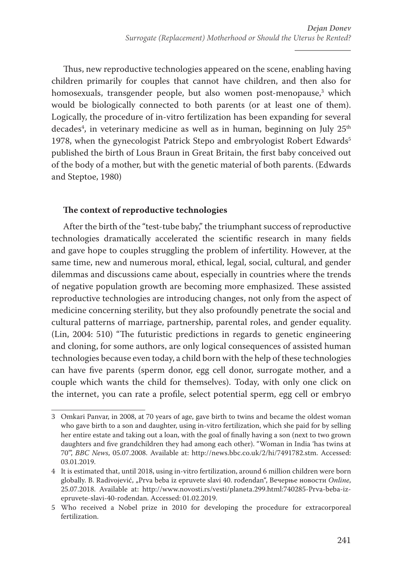Thus, new reproductive technologies appeared on the scene, enabling having children primarily for couples that cannot have children, and then also for homosexuals, transgender people, but also women post-menopause,<sup>3</sup> which would be biologically connected to both parents (or at least one of them). Logically, the procedure of in-vitro fertilization has been expanding for several decades<sup>4</sup>, in veterinary medicine as well as in human, beginning on July  $25^{\text{th}}$ 1978, when the gynecologist Patrick Stepo and embryologist Robert Edwards<sup>5</sup> published the birth of Lous Braun in Great Britain, the first baby conceived out of the body of a mother, but with the genetic material of both parents. (Edwards and Steptoe, 1980)

### **The context of reproductive technologies**

After the birth of the "test-tube baby," the triumphant success of reproductive technologies dramatically accelerated the scientific research in many fields and gave hope to couples struggling the problem of infertility. However, at the same time, new and numerous moral, ethical, legal, social, cultural, and gender dilemmas and discussions came about, especially in countries where the trends of negative population growth are becoming more emphasized. These assisted reproductive technologies are introducing changes, not only from the aspect of medicine concerning sterility, but they also profoundly penetrate the social and cultural patterns of marriage, partnership, parental roles, and gender equality. (Lin, 2004: 510) "The futuristic predictions in regards to genetic engineering and cloning, for some authors, are only logical consequences of assisted human technologies because even today, a child born with the help of these technologies can have five parents (sperm donor, egg cell donor, surrogate mother, and a couple which wants the child for themselves). Today, with only one click on the internet, you can rate a profile, select potential sperm, egg cell or embryo

<sup>3</sup> Omkari Panvar, in 2008, at 70 years of age, gave birth to twins and became the oldest woman who gave birth to a son and daughter, using in-vitro fertilization, which she paid for by selling her entire estate and taking out a loan, with the goal of finally having a son (next to two grown daughters and five grandchildren they had among each other). "Woman in India 'has twins at 70'", *BBC News*, 05.07.2008. Available at: http://news.bbc.co.uk/2/hi/7491782.stm. Accessed: 03.01.2019.

<sup>4</sup> It is estimated that, until 2018, using in-vitro fertilization, around 6 million children were born globally. B. Radivojević, "Prva beba iz epruvete slavi 40. rođendan", Вечерње новости *Online*, 25.07.2018. Available at: http://www.novosti.rs/vesti/planeta.299.html:740285-Prva-beba-izepruvete-slavi-40-rođendan. Accessed: 01.02.2019.

<sup>5</sup> Who received a Nobel prize in 2010 for developing the procedure for extracorporeal fertilization.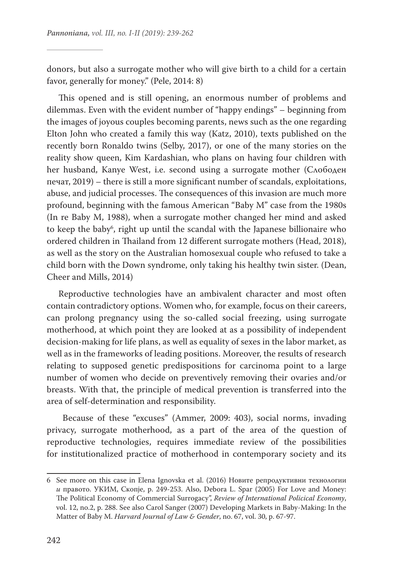donors, but also a surrogate mother who will give birth to a child for a certain favor, generally for money." (Pele, 2014: 8)

This opened and is still opening, an enormous number of problems and dilemmas. Even with the evident number of "happy endings" – beginning from the images of joyous couples becoming parents, news such as the one regarding Elton John who created a family this way (Katz, 2010), texts published on the recently born Ronaldo twins (Selby, 2017), or one of the many stories on the reality show queen, Kim Kardashian, who plans on having four children with her husband, Kanye West, i.e. second using a surrogate mother (Слободен печат, 2019) – there is still a more significant number of scandals, exploitations, abuse, and judicial processes. The consequences of this invasion are much more profound, beginning with the famous American "Baby M" case from the 1980s (In re Baby M, 1988), when a surrogate mother changed her mind and asked to keep the baby<sup>6</sup>, right up until the scandal with the Japanese billionaire who ordered children in Thailand from 12 different surrogate mothers (Head, 2018), as well as the story on the Australian homosexual couple who refused to take a child born with the Down syndrome, only taking his healthy twin sister. (Dean, Cheer and Mills, 2014)

Reproductive technologies have an ambivalent character and most often contain contradictory options. Women who, for example, focus on their careers, can prolong pregnancy using the so-called social freezing, using surrogate motherhood, at which point they are looked at as a possibility of independent decision-making for life plans, as well as equality of sexes in the labor market, as well as in the frameworks of leading positions. Moreover, the results of research relating to supposed genetic predispositions for carcinoma point to a large number of women who decide on preventively removing their ovaries and/or breasts. With that, the principle of medical prevention is transferred into the area of self-determination and responsibility.

 Because of these "excuses" (Ammer, 2009: 403), social norms, invading privacy, surrogate motherhood, as a part of the area of the question of reproductive technologies, requires immediate review of the possibilities for institutionalized practice of motherhood in contemporary society and its

<sup>6</sup> See more on this case in Elena Ignovska et al. (2016) Новите репродуктивни технологии *и* правото. УКИМ, Скопје, р. 249-253. Also, Debora L. Spar (2005) For Love and Money: The Political Economy of Commercial Surrogacy", *Review of International Policical Economy*, vol. 12, no.2, p. 288. See also Carol Sanger (2007) Developing Markets in Baby-Making: In the Matter of Baby M. *Harvard Journal of Law & Gender*, no. 67, vol. 30, p. 67-97.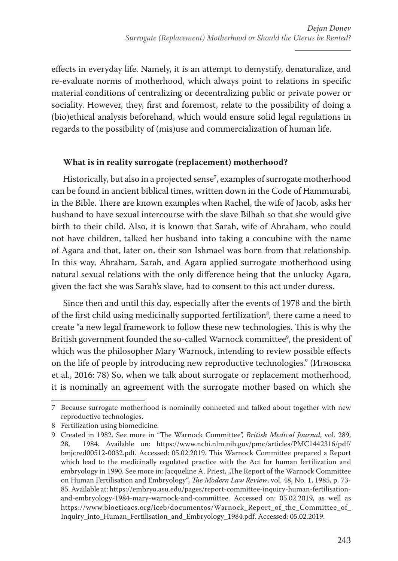effects in everyday life. Namely, it is an attempt to demystify, denaturalize, and re-evaluate norms of motherhood, which always point to relations in specific material conditions of centralizing or decentralizing public or private power or sociality. However, they, first and foremost, relate to the possibility of doing a (bio)ethical analysis beforehand, which would ensure solid legal regulations in regards to the possibility of (mis)use and commercialization of human life.

### **What is in reality surrogate (replacement) motherhood?**

Historically, but also in a projected sense<sup>7</sup>, examples of surrogate motherhood can be found in ancient biblical times, written down in the Code of Hammurabi, in the Bible. There are known examples when Rachel, the wife of Jacob, asks her husband to have sexual intercourse with the slave Bilhah so that she would give birth to their child. Also, it is known that Sarah, wife of Abraham, who could not have children, talked her husband into taking a concubine with the name of Agara and that, later on, their son Ishmael was born from that relationship. In this way, Abraham, Sarah, and Agara applied surrogate motherhood using natural sexual relations with the only difference being that the unlucky Agara, given the fact she was Sarah's slave, had to consent to this act under duress.

Since then and until this day, especially after the events of 1978 and the birth of the first child using medicinally supported fertilization<sup>8</sup>, there came a need to create "a new legal framework to follow these new technologies. This is why the British government founded the so-called Warnock committee<sup>9</sup>, the president of which was the philosopher Mary Warnock, intending to review possible effects on the life of people by introducing new reproductive technologies." (Игновска et al., 2016: 78) So, when we talk about surrogate or replacement motherhood, it is nominally an agreement with the surrogate mother based on which she

<sup>7</sup> Because surrogate motherhood is nominally connected and talked about together with new reproductive technologies.

<sup>8</sup> Fertilization using biomedicine.

<sup>9</sup> Created in 1982. See more in "The Warnock Committee", *British Medical Journal*, vol. 289, 28, 1984. Available on: https://www.ncbi.nlm.nih.gov/pmc/articles/PMC1442316/pdf/ bmjcred00512-0032.pdf. Accessed: 05.02.2019. This Warnock Committee prepared a Report which lead to the medicinally regulated practice with the Act for human fertilization and embryology in 1990. See more in: Jacqueline A. Priest, "The Report of the Warnock Committee on Human Fertilisation and Embryology", *The Modern Law Review*, vol. 48, No. 1, 1985, p. 73- 85. Available at: https://embryo.asu.edu/pages/report-committee-inquiry-human-fertilisationand-embryology-1984-mary-warnock-and-committee. Accessed on: 05.02.2019, as well as https://www.bioeticacs.org/iceb/documentos/Warnock\_Report\_of\_the\_Committee\_of\_ Inquiry\_into\_Human\_Fertilisation\_and\_Embryology\_1984.pdf. Accessed: 05.02.2019.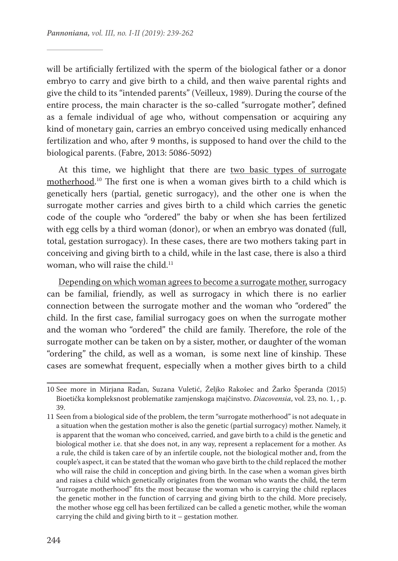will be artificially fertilized with the sperm of the biological father or a donor embryo to carry and give birth to a child, and then waive parental rights and give the child to its "intended parents" (Veilleux, 1989). During the course of the entire process, the main character is the so-called "surrogate mother", defined as a female individual of age who, without compensation or acquiring any kind of monetary gain, carries an embryo conceived using medically enhanced fertilization and who, after 9 months, is supposed to hand over the child to the biological parents. (Fabre, 2013: 5086-5092)

At this time, we highlight that there are two basic types of surrogate motherhood. 10 The first one is when a woman gives birth to a child which is genetically hers (partial, genetic surrogacy), and the other one is when the surrogate mother carries and gives birth to a child which carries the genetic code of the couple who "ordered" the baby or when she has been fertilized with egg cells by a third woman (donor), or when an embryo was donated (full, total, gestation surrogacy). In these cases, there are two mothers taking part in conceiving and giving birth to a child, while in the last case, there is also a third woman, who will raise the child.<sup>11</sup>

Depending on which woman agrees to become a surrogate mother, surrogacy can be familial, friendly, as well as surrogacy in which there is no earlier connection between the surrogate mother and the woman who "ordered" the child. In the first case, familial surrogacy goes on when the surrogate mother and the woman who "ordered" the child are family. Therefore, the role of the surrogate mother can be taken on by a sister, mother, or daughter of the woman "ordering" the child, as well as a woman, is some next line of kinship. These cases are somewhat frequent, especially when a mother gives birth to a child

<sup>10</sup> See more in Mirjana Radan, Suzana Vuletić, Željko Rakošec and Žarko Šperanda (2015) Bioetička kompleksnost problematike zamjenskoga majčinstvo. *Diacovensia*, vol. 23, no. 1, , p. 39.

<sup>11</sup> Seen from a biological side of the problem, the term "surrogate motherhood" is not adequate in a situation when the gestation mother is also the genetic (partial surrogacy) mother. Namely, it is apparent that the woman who conceived, carried, and gave birth to a child is the genetic and biological mother i.e. that she does not, in any way, represent a replacement for a mother. As a rule, the child is taken care of by an infertile couple, not the biological mother and, from the couple's aspect, it can be stated that the woman who gave birth to the child replaced the mother who will raise the child in conception and giving birth. In the case when a woman gives birth and raises a child which genetically originates from the woman who wants the child, the term "surrogate motherhood" fits the most because the woman who is carrying the child replaces the genetic mother in the function of carrying and giving birth to the child. More precisely, the mother whose egg cell has been fertilized can be called a genetic mother, while the woman carrying the child and giving birth to it – gestation mother.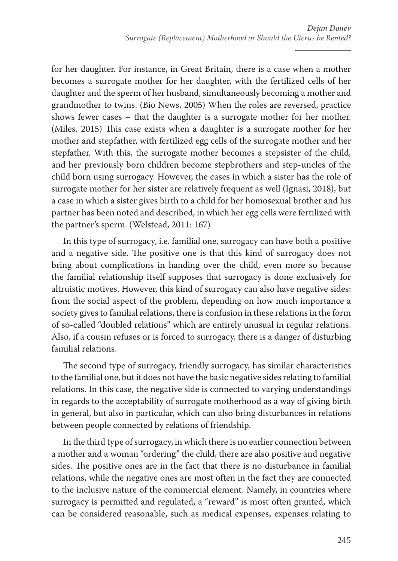for her daughter. For instance, in Great Britain, there is a case when a mother becomes a surrogate mother for her daughter, with the fertilized cells of her daughter and the sperm of her husband, simultaneously becoming a mother and grandmother to twins. (Bio News, 2005) When the roles are reversed, practice shows fewer cases – that the daughter is a surrogate mother for her mother. (Miles, 2015) This case exists when a daughter is a surrogate mother for her mother and stepfather, with fertilized egg cells of the surrogate mother and her stepfather. With this, the surrogate mother becomes a stepsister of the child, and her previously born children become stepbrothers and step-uncles of the child born using surrogacy. However, the cases in which a sister has the role of surrogate mother for her sister are relatively frequent as well (Ignasi, 2018), but a case in which a sister gives birth to a child for her homosexual brother and his partner has been noted and described, in which her egg cells were fertilized with the partner's sperm. (Welstead, 2011: 167)

In this type of surrogacy, i.e. familial one, surrogacy can have both a positive and a negative side. The positive one is that this kind of surrogacy does not bring about complications in handing over the child, even more so because the familial relationship itself supposes that surrogacy is done exclusively for altruistic motives. However, this kind of surrogacy can also have negative sides: from the social aspect of the problem, depending on how much importance a society gives to familial relations, there is confusion in these relations in the form of so-called "doubled relations" which are entirely unusual in regular relations. Also, if a cousin refuses or is forced to surrogacy, there is a danger of disturbing familial relations.

The second type of surrogacy, friendly surrogacy, has similar characteristics to the familial one, but it does not have the basic negative sides relating to familial relations. In this case, the negative side is connected to varying understandings in regards to the acceptability of surrogate motherhood as a way of giving birth in general, but also in particular, which can also bring disturbances in relations between people connected by relations of friendship.

In the third type of surrogacy, in which there is no earlier connection between a mother and a woman "ordering" the child, there are also positive and negative sides. The positive ones are in the fact that there is no disturbance in familial relations, while the negative ones are most often in the fact they are connected to the inclusive nature of the commercial element. Namely, in countries where surrogacy is permitted and regulated, a "reward" is most often granted, which can be considered reasonable, such as medical expenses, expenses relating to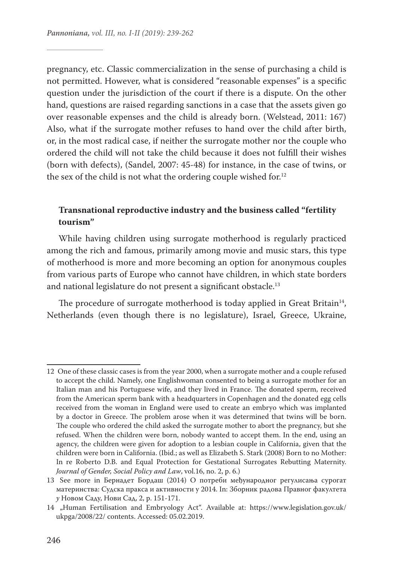pregnancy, etc. Classic commercialization in the sense of purchasing a child is not permitted. However, what is considered "reasonable expenses" is a specific question under the jurisdiction of the court if there is a dispute. On the other hand, questions are raised regarding sanctions in a case that the assets given go over reasonable expenses and the child is already born. (Welstead, 2011: 167) Also, what if the surrogate mother refuses to hand over the child after birth, or, in the most radical case, if neither the surrogate mother nor the couple who ordered the child will not take the child because it does not fulfill their wishes (born with defects), (Sandel, 2007: 45-48) for instance, in the case of twins, or the sex of the child is not what the ordering couple wished for.<sup>12</sup>

## **Transnational reproductive industry and the business called "fertility tourism"**

While having children using surrogate motherhood is regularly practiced among the rich and famous, primarily among movie and music stars, this type of motherhood is more and more becoming an option for anonymous couples from various parts of Europe who cannot have children, in which state borders and national legislature do not present a significant obstacle.<sup>13</sup>

The procedure of surrogate motherhood is today applied in Great Britain<sup>14</sup>, Netherlands (even though there is no legislature), Israel, Greece, Ukraine,

<sup>12</sup> One of these classic cases is from the year 2000, when a surrogate mother and a couple refused to accept the child. Namely, one Englishwoman consented to being a surrogate mother for an Italian man and his Portuguese wife, and they lived in France. The donated sperm, received from the American sperm bank with a headquarters in Copenhagen and the donated egg cells received from the woman in England were used to create an embryo which was implanted by a doctor in Greece. The problem arose when it was determined that twins will be born. The couple who ordered the child asked the surrogate mother to abort the pregnancy, but she refused. When the children were born, nobody wanted to accept them. In the end, using an agency, the children were given for adoption to a lesbian couple in California, given that the children were born in California. (Ibid.; as well as Elizabeth S. Stark (2008) Born to no Mother: In re Roberto D.B. and Equal Protection for Gestational Surrogates Rebutting Maternity. *Journal of Gender, Social Policy and Law*, vol.16, no. 2, p. 6.)

<sup>13</sup> See more in Бернадет Бордаш (2014) О потреби међународног регулисањa сурогат материнства: Судска пракса и активности у 2014. In: Зборник радова Правног факултета *у* Новом Саду, Нови Сад, 2, p. 151-171.

<sup>14 &</sup>quot;Human Fertilisation and Embryology Act". Available at: https://www.legislation.gov.uk/ ukpga/2008/22/ contents. Accessed: 05.02.2019.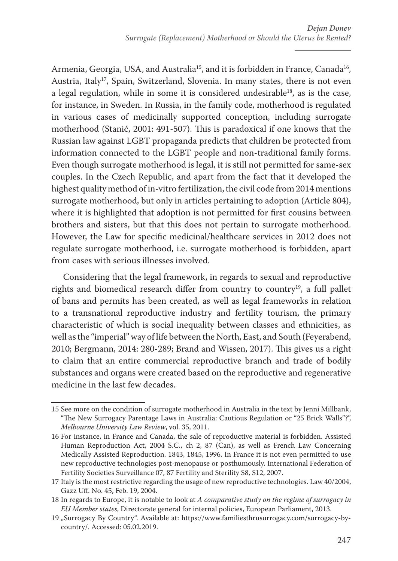Armenia, Georgia, USA, and Australia<sup>15</sup>, and it is forbidden in France, Canada<sup>16</sup>, Austria, Italy<sup>17</sup>, Spain, Switzerland, Slovenia. In many states, there is not even a legal regulation, while in some it is considered undesirable<sup>18</sup>, as is the case, for instance, in Sweden. In Russia, in the family code, motherhood is regulated in various cases of medicinally supported conception, including surrogate motherhood (Stanić, 2001: 491-507). This is paradoxical if one knows that the Russian law against LGBT propaganda predicts that children be protected from information connected to the LGBT people and non-traditional family forms. Even though surrogate motherhood is legal, it is still not permitted for same-sex couples. In the Czech Republic, and apart from the fact that it developed the highest quality method of in-vitro fertilization, the civil code from 2014 mentions surrogate motherhood, but only in articles pertaining to adoption (Article 804), where it is highlighted that adoption is not permitted for first cousins between brothers and sisters, but that this does not pertain to surrogate motherhood. However, the Law for specific medicinal/healthcare services in 2012 does not regulate surrogate motherhood, i.e. surrogate motherhood is forbidden, apart from cases with serious illnesses involved.

Considering that the legal framework, in regards to sexual and reproductive rights and biomedical research differ from country to country<sup>19</sup>, a full pallet of bans and permits has been created, as well as legal frameworks in relation to a transnational reproductive industry and fertility tourism, the primary characteristic of which is social inequality between classes and ethnicities, as well as the "imperial" way of life between the North, East, and South (Feyerabend, 2010; Bergmann, 2014: 280-289; Brand and Wissen, 2017). This gives us a right to claim that an entire commercial reproductive branch and trade of bodily substances and organs were created based on the reproductive and regenerative medicine in the last few decades.

<sup>15</sup> See more on the condition of surrogate motherhood in Australia in the text by Jenni Millbank, "The New Surrogacy Parentage Laws in Australia: Cautious Regulation or "25 Brick Walls"?", *Melbourne University Law Review*, vol. 35, 2011.

<sup>16</sup> For instance, in France and Canada, the sale of reproductive material is forbidden. Assisted Human Reproduction Act, 2004 S.C., ch 2, 87 (Can), as well as French Law Concerning Medically Assisted Reproduction. 1843, 1845, 1996. In France it is not even permitted to use new reproductive technologies post-menopause or posthumously. International Federation of Fertility Societies Surveillance 07, 87 Fertility and Sterility S8, S12, 2007.

<sup>17</sup> Italy is the most restrictive regarding the usage of new reproductive technologies. Law 40/2004, Gazz Uff. No. 45, Feb. 19, 2004.

<sup>18</sup> In regards to Europe, it is notable to look at *A comparative study on the regime of surrogacy in EU Member states*, Directorate general for internal policies, European Parliament, 2013.

<sup>19</sup> "Surrogacy By Country". Available at: https://www.familiesthrusurrogacy.com/surrogacy-bycountry/. Accessed: 05.02.2019.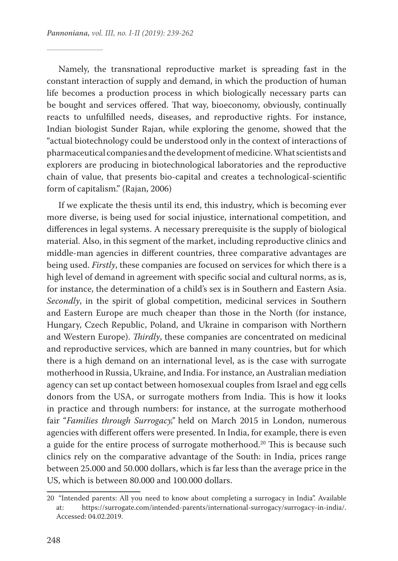Namely, the transnational reproductive market is spreading fast in the constant interaction of supply and demand, in which the production of human life becomes a production process in which biologically necessary parts can be bought and services offered. That way, bioeconomy, obviously, continually reacts to unfulfilled needs, diseases, and reproductive rights. For instance, Indian biologist Sunder Rajan, while exploring the genome, showed that the "actual biotechnology could be understood only in the context of interactions of pharmaceutical companies and the development of medicine. What scientists and explorers are producing in biotechnological laboratories and the reproductive chain of value, that presents bio-capital and creates a technological-scientific form of capitalism." (Rajan, 2006)

If we explicate the thesis until its end, this industry, which is becoming ever more diverse, is being used for social injustice, international competition, and differences in legal systems. A necessary prerequisite is the supply of biological material. Also, in this segment of the market, including reproductive clinics and middle-man agencies in different countries, three comparative advantages are being used. *Firstly*, these companies are focused on services for which there is a high level of demand in agreement with specific social and cultural norms, as is, for instance, the determination of a child's sex is in Southern and Eastern Asia. *Secondly*, in the spirit of global competition, medicinal services in Southern and Eastern Europe are much cheaper than those in the North (for instance, Hungary, Czech Republic, Poland, and Ukraine in comparison with Northern and Western Europe). *Thirdly*, these companies are concentrated on medicinal and reproductive services, which are banned in many countries, but for which there is a high demand on an international level, as is the case with surrogate motherhood in Russia, Ukraine, and India. For instance, an Australian mediation agency can set up contact between homosexual couples from Israel and egg cells donors from the USA, or surrogate mothers from India. This is how it looks in practice and through numbers: for instance, at the surrogate motherhood fair "*Families through Surrogacy,"* held on March 2015 in London, numerous agencies with different offers were presented. In India, for example, there is even a guide for the entire process of surrogate motherhood.<sup>20</sup> This is because such clinics rely on the comparative advantage of the South: in India, prices range between 25.000 and 50.000 dollars, which is far less than the average price in the US, which is between 80.000 and 100.000 dollars.

<sup>20 &</sup>quot;Intended parents: All you need to know about completing a surrogacy in India". Available at: https://surrogate.com/intended-parents/international-surrogacy/surrogacy-in-india/. Accessed: 04.02.2019.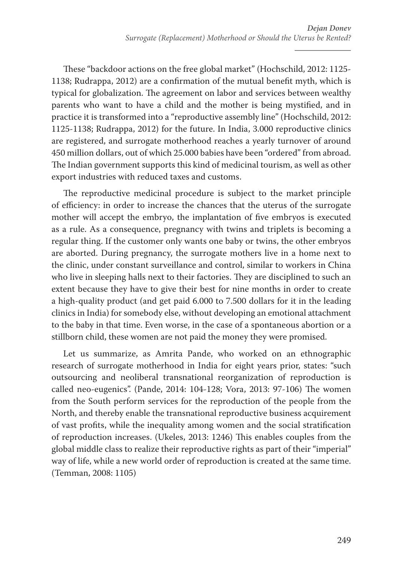These "backdoor actions on the free global market" (Hochschild, 2012: 1125- 1138; Rudrappa, 2012) are a confirmation of the mutual benefit myth, which is typical for globalization. The agreement on labor and services between wealthy parents who want to have a child and the mother is being mystified, and in practice it is transformed into a "reproductive assembly line" (Hochschild, 2012: 1125-1138; Rudrappa, 2012) for the future. In India, 3.000 reproductive clinics are registered, and surrogate motherhood reaches a yearly turnover of around 450 million dollars, out of which 25.000 babies have been "ordered" from abroad. The Indian government supports this kind of medicinal tourism, as well as other export industries with reduced taxes and customs.

The reproductive medicinal procedure is subject to the market principle of efficiency: in order to increase the chances that the uterus of the surrogate mother will accept the embryo, the implantation of five embryos is executed as a rule. As a consequence, pregnancy with twins and triplets is becoming a regular thing. If the customer only wants one baby or twins, the other embryos are aborted. During pregnancy, the surrogate mothers live in a home next to the clinic, under constant surveillance and control, similar to workers in China who live in sleeping halls next to their factories. They are disciplined to such an extent because they have to give their best for nine months in order to create a high-quality product (and get paid 6.000 to 7.500 dollars for it in the leading clinics in India) for somebody else, without developing an emotional attachment to the baby in that time. Even worse, in the case of a spontaneous abortion or a stillborn child, these women are not paid the money they were promised.

Let us summarize, as Amrita Pande, who worked on an ethnographic research of surrogate motherhood in India for eight years prior, states: "such outsourcing and neoliberal transnational reorganization of reproduction is called neo-eugenics". (Pande, 2014: 104-128; Vora, 2013: 97-106) The women from the South perform services for the reproduction of the people from the North, and thereby enable the transnational reproductive business acquirement of vast profits, while the inequality among women and the social stratification of reproduction increases. (Ukeles, 2013: 1246) This enables couples from the global middle class to realize their reproductive rights as part of their "imperial" way of life, while a new world order of reproduction is created at the same time. (Temman, 2008: 1105)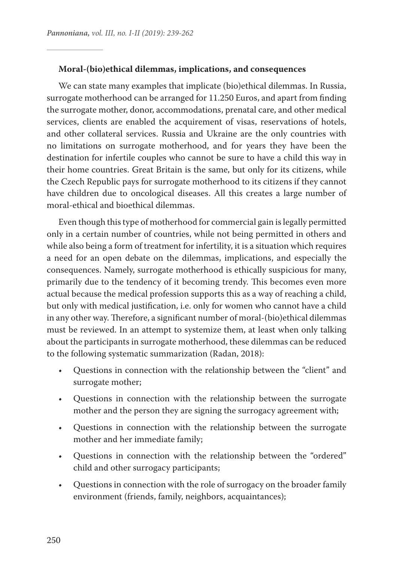#### **Moral-(bio)ethical dilemmas, implications, and consequences**

We can state many examples that implicate (bio)ethical dilemmas. In Russia, surrogate motherhood can be arranged for 11.250 Euros, and apart from finding the surrogate mother, donor, accommodations, prenatal care, and other medical services, clients are enabled the acquirement of visas, reservations of hotels, and other collateral services. Russia and Ukraine are the only countries with no limitations on surrogate motherhood, and for years they have been the destination for infertile couples who cannot be sure to have a child this way in their home countries. Great Britain is the same, but only for its citizens, while the Czech Republic pays for surrogate motherhood to its citizens if they cannot have children due to oncological diseases. All this creates a large number of moral-ethical and bioethical dilemmas.

Even though this type of motherhood for commercial gain is legally permitted only in a certain number of countries, while not being permitted in others and while also being a form of treatment for infertility, it is a situation which requires a need for an open debate on the dilemmas, implications, and especially the consequences. Namely, surrogate motherhood is ethically suspicious for many, primarily due to the tendency of it becoming trendy. This becomes even more actual because the medical profession supports this as a way of reaching a child, but only with medical justification, i.e. only for women who cannot have a child in any other way. Therefore, a significant number of moral-(bio)ethical dilemmas must be reviewed. In an attempt to systemize them, at least when only talking about the participants in surrogate motherhood, these dilemmas can be reduced to the following systematic summarization (Radan, 2018):

- Questions in connection with the relationship between the "client" and surrogate mother;
- Questions in connection with the relationship between the surrogate mother and the person they are signing the surrogacy agreement with;
- Questions in connection with the relationship between the surrogate mother and her immediate family;
- Questions in connection with the relationship between the "ordered" child and other surrogacy participants;
- Questions in connection with the role of surrogacy on the broader family environment (friends, family, neighbors, acquaintances);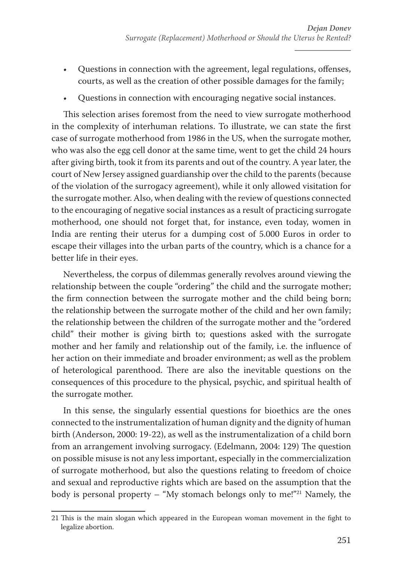- Questions in connection with the agreement, legal regulations, offenses, courts, as well as the creation of other possible damages for the family;
- Questions in connection with encouraging negative social instances.

This selection arises foremost from the need to view surrogate motherhood in the complexity of interhuman relations. To illustrate, we can state the first case of surrogate motherhood from 1986 in the US, when the surrogate mother, who was also the egg cell donor at the same time, went to get the child 24 hours after giving birth, took it from its parents and out of the country. A year later, the court of New Jersey assigned guardianship over the child to the parents (because of the violation of the surrogacy agreement), while it only allowed visitation for the surrogate mother. Also, when dealing with the review of questions connected to the encouraging of negative social instances as a result of practicing surrogate motherhood, one should not forget that, for instance, even today, women in India are renting their uterus for a dumping cost of 5.000 Euros in order to escape their villages into the urban parts of the country, which is a chance for a better life in their eyes.

Nevertheless, the corpus of dilemmas generally revolves around viewing the relationship between the couple "ordering" the child and the surrogate mother; the firm connection between the surrogate mother and the child being born; the relationship between the surrogate mother of the child and her own family; the relationship between the children of the surrogate mother and the "ordered child" their mother is giving birth to; questions asked with the surrogate mother and her family and relationship out of the family, i.e. the influence of her action on their immediate and broader environment; as well as the problem of heterological parenthood. There are also the inevitable questions on the consequences of this procedure to the physical, psychic, and spiritual health of the surrogate mother.

In this sense, the singularly essential questions for bioethics are the ones connected to the instrumentalization of human dignity and the dignity of human birth (Anderson, 2000: 19-22), as well as the instrumentalization of a child born from an arrangement involving surrogacy. (Edelmann, 2004: 129) The question on possible misuse is not any less important, especially in the commercialization of surrogate motherhood, but also the questions relating to freedom of choice and sexual and reproductive rights which are based on the assumption that the body is personal property – "My stomach belongs only to me!"21 Namely, the

<sup>21</sup> This is the main slogan which appeared in the European woman movement in the fight to legalize abortion.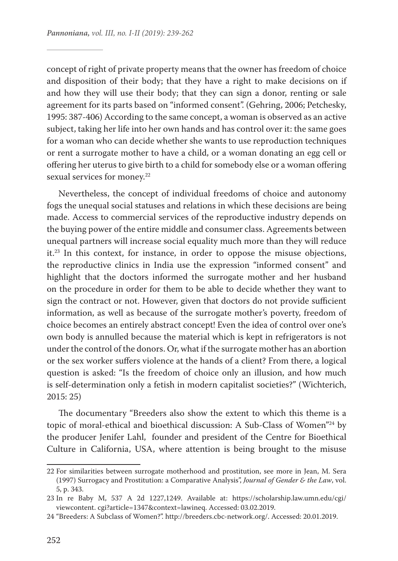concept of right of private property means that the owner has freedom of choice and disposition of their body; that they have a right to make decisions on if and how they will use their body; that they can sign a donor, renting or sale agreement for its parts based on "informed consent". (Gehring, 2006; Petchesky, 1995: 387-406) According to the same concept, a woman is observed as an active subject, taking her life into her own hands and has control over it: the same goes for a woman who can decide whether she wants to use reproduction techniques or rent a surrogate mother to have a child, or a woman donating an egg cell or offering her uterus to give birth to a child for somebody else or a woman offering sexual services for money.<sup>22</sup>

Nevertheless, the concept of individual freedoms of choice and autonomy fogs the unequal social statuses and relations in which these decisions are being made. Access to commercial services of the reproductive industry depends on the buying power of the entire middle and consumer class. Agreements between unequal partners will increase social equality much more than they will reduce it.23 In this context, for instance, in order to oppose the misuse objections, the reproductive clinics in India use the expression "informed consent" and highlight that the doctors informed the surrogate mother and her husband on the procedure in order for them to be able to decide whether they want to sign the contract or not. However, given that doctors do not provide sufficient information, as well as because of the surrogate mother's poverty, freedom of choice becomes an entirely abstract concept! Even the idea of control over one's own body is annulled because the material which is kept in refrigerators is not under the control of the donors. Or, what if the surrogate mother has an abortion or the sex worker suffers violence at the hands of a client? From there, a logical question is asked: "Is the freedom of choice only an illusion, and how much is self-determination only a fetish in modern capitalist societies?" (Wichterich, 2015: 25)

The documentary "Breeders also show the extent to which this theme is a topic of moral-ethical and bioethical discussion: A Sub-Class of Women"24 by the producer Jenifer Lahl, founder and president of the Centre for Bioethical Culture in California, USA, where attention is being brought to the misuse

<sup>22</sup> For similarities between surrogate motherhood and prostitution, see more in Jean, M. Sera (1997) Surrogacy and Prostitution: a Comparative Analysis", *Journal of Gender & the Law*, vol. 5, p. 343.

<sup>23</sup> In re Baby M, 537 A 2d 1227,1249. Available at: https://scholarship.law.umn.edu/cgi/ viewcontent. cgi?article=1347&context=lawineq. Accessed: 03.02.2019.

<sup>24</sup> "Breeders: A Subclass of Women?". http://breeders.cbc-network.org/. Accessed: 20.01.2019.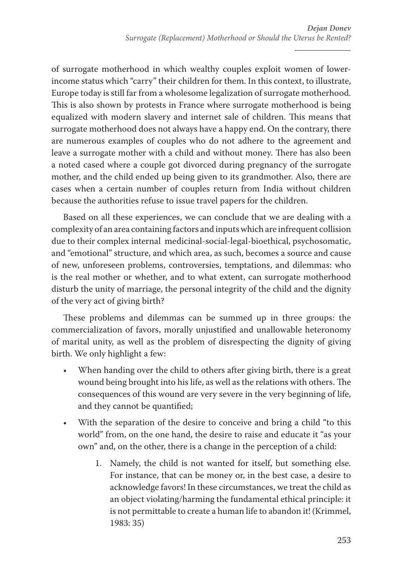of surrogate motherhood in which wealthy couples exploit women of lowerincome status which "carry" their children for them. In this context, to illustrate, Europe today is still far from a wholesome legalization of surrogate motherhood. This is also shown by protests in France where surrogate motherhood is being equalized with modern slavery and internet sale of children. This means that surrogate motherhood does not always have a happy end. On the contrary, there are numerous examples of couples who do not adhere to the agreement and leave a surrogate mother with a child and without money. There has also been a noted cased where a couple got divorced during pregnancy of the surrogate mother, and the child ended up being given to its grandmother. Also, there are cases when a certain number of couples return from India without children because the authorities refuse to issue travel papers for the children.

Based on all these experiences, we can conclude that we are dealing with a complexity of an area containing factors and inputs which are infrequent collision due to their complex internal medicinal-social-legal-bioethical, psychosomatic, and "emotional" structure, and which area, as such, becomes a source and cause of new, unforeseen problems, controversies, temptations, and dilemmas: who is the real mother or whether, and to what extent, can surrogate motherhood disturb the unity of marriage, the personal integrity of the child and the dignity of the very act of giving birth?

These problems and dilemmas can be summed up in three groups: the commercialization of favors, morally unjustified and unallowable heteronomy of marital unity, as well as the problem of disrespecting the dignity of giving birth. We only highlight a few:

- When handing over the child to others after giving birth, there is a great wound being brought into his life, as well as the relations with others. The consequences of this wound are very severe in the very beginning of life, and they cannot be quantified;
- With the separation of the desire to conceive and bring a child "to this world" from, on the one hand, the desire to raise and educate it "as your own" and, on the other, there is a change in the perception of a child:
	- 1. Namely, the child is not wanted for itself, but something else. For instance, that can be money or, in the best case, a desire to acknowledge favors! In these circumstances, we treat the child as an object violating/harming the fundamental ethical principle: it is not permittable to create a human life to abandon it! (Krimmel, 1983: 35)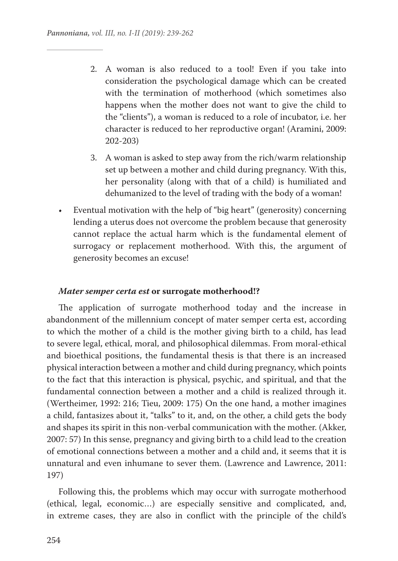- 2. A woman is also reduced to a tool! Even if you take into consideration the psychological damage which can be created with the termination of motherhood (which sometimes also happens when the mother does not want to give the child to the "clients"), a woman is reduced to a role of incubator, i.e. her character is reduced to her reproductive organ! (Aramini, 2009: 202-203)
- 3. A woman is asked to step away from the rich/warm relationship set up between a mother and child during pregnancy. With this, her personality (along with that of a child) is humiliated and dehumanized to the level of trading with the body of a woman!
- Eventual motivation with the help of "big heart" (generosity) concerning lending a uterus does not overcome the problem because that generosity cannot replace the actual harm which is the fundamental element of surrogacy or replacement motherhood. With this, the argument of generosity becomes an excuse!

#### *Mater semper certa est* **or surrogate motherhood!?**

The application of surrogate motherhood today and the increase in abandonment of the millennium concept of mater semper certa est, according to which the mother of a child is the mother giving birth to a child, has lead to severe legal, ethical, moral, and philosophical dilemmas. From moral-ethical and bioethical positions, the fundamental thesis is that there is an increased physical interaction between a mother and child during pregnancy, which points to the fact that this interaction is physical, psychic, and spiritual, and that the fundamental connection between a mother and a child is realized through it. (Wertheimer, 1992: 216; Tieu, 2009: 175) On the one hand, a mother imagines a child, fantasizes about it, "talks" to it, and, on the other, a child gets the body and shapes its spirit in this non-verbal communication with the mother. (Akker, 2007: 57) In this sense, pregnancy and giving birth to a child lead to the creation of emotional connections between a mother and a child and, it seems that it is unnatural and even inhumane to sever them. (Lawrence and Lawrence, 2011: 197)

Following this, the problems which may occur with surrogate motherhood (ethical, legal, economic…) are especially sensitive and complicated, and, in extreme cases, they are also in conflict with the principle of the child's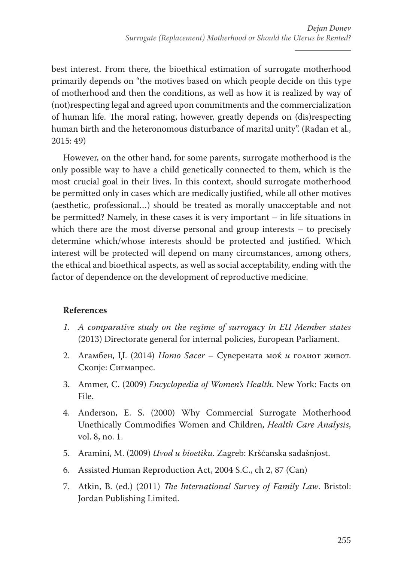best interest. From there, the bioethical estimation of surrogate motherhood primarily depends on "the motives based on which people decide on this type of motherhood and then the conditions, as well as how it is realized by way of (not)respecting legal and agreed upon commitments and the commercialization of human life. The moral rating, however, greatly depends on (dis)respecting human birth and the heteronomous disturbance of marital unity". (Radan et al., 2015: 49)

However, on the other hand, for some parents, surrogate motherhood is the only possible way to have a child genetically connected to them, which is the most crucial goal in their lives. In this context, should surrogate motherhood be permitted only in cases which are medically justified, while all other motives (aesthetic, professional…) should be treated as morally unacceptable and not be permitted? Namely, in these cases it is very important – in life situations in which there are the most diverse personal and group interests – to precisely determine which/whose interests should be protected and justified. Which interest will be protected will depend on many circumstances, among others, the ethical and bioethical aspects, as well as social acceptability, ending with the factor of dependence on the development of reproductive medicine.

## **References**

- *1. A comparative study on the regime of surrogacy in EU Member states* (2013) Directorate general for internal policies, European Parliament.
- 2. Агамбен, Џ. (2014) *Homo Sacer* Суверената моќ *и* голиот живот. Скопје: Сигмапрес.
- 3. Ammer, C. (2009) *Encyclopedia of Women's Health*. New York: Facts on File.
- 4. Anderson, E. S. (2000) Why Commercial Surrogate Motherhood Unethically Commodifies Women and Children, *Health Care Analysis*, vol. 8, no. 1.
- 5. Aramini, M. (2009) *Uvod u bioetiku.* Zagreb: Kršćanska sadašnjost.
- 6. Assisted Human Reproduction Act, 2004 S.C., ch 2, 87 (Can)
- 7. Atkin, B. (ed.) (2011) *The International Survey of Family Law*. Bristol: Jordan Publishing Limited.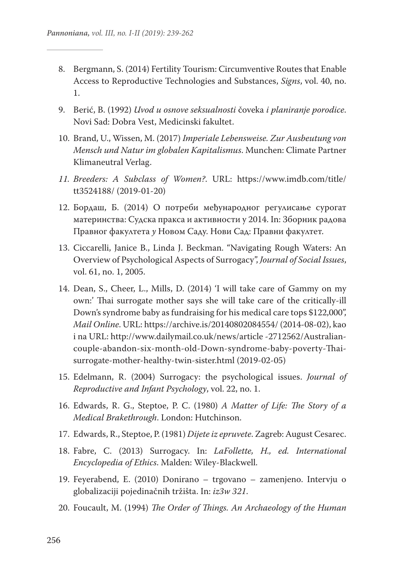- 8. Bergmann, S. (2014) Fertility Tourism: Circumventive Routes that Enable Access to Reproductive Technologies and Substances, *Signs*, vol. 40, no. 1.
- 9. Berić, B. (1992) *Uvod u osnove seksualnosti* čoveka *i planiranje porodice*. Novi Sad: Dobra Vest, Medicinski fakultet.
- 10. Brand, U., Wissen, M. (2017) *Imperiale Lebensweise. Zur Ausbeutung von Mensch und Natur im globalen Kapitalismus*. Munchen: Climate Partner Klimaneutral Verlag.
- *11. Breeders: A Subclass of Women?*. URL: https://www.imdb.com/title/ tt3524188/ (2019-01-20)
- 12. Бордаш, Б. (2014) О потреби међународног регулисање сурогат материнства: Судска пракса и активности у 2014. In: Зборник радова Правног факултета *у* Новом Саду. Нови Сад: Правни факултет.
- 13. Ciccarelli, Janice B., Linda J. Beckman. "Navigating Rough Waters: An Overview of Psychological Aspects of Surrogacy", *Journal of Social Issues*, vol. 61, no. 1, 2005.
- 14. Dean, S., Cheer, L., Mills, D. (2014) 'I will take care of Gammy on my own:' Thai surrogate mother says she will take care of the critically-ill Down's syndrome baby as fundraising for his medical care tops \$122,000", *Mail Online*. URL: https://archive.is/20140802084554/ (2014-08-02), kao i na URL: http://www.dailymail.co.uk/news/article -2712562/Australiancouple-abandon-six-month-old-Down-syndrome-baby-poverty-Thaisurrogate-mother-healthy-twin-sister.html (2019-02-05)
- 15. Edelmann, R. (2004) Surrogacy: the psychological issues. *Journal of Reproductive and Infant Psychology*, vol. 22, no. 1.
- 16. Edwards, R. G., Steptoe, P. C. (1980) *A Matter of Life: The Story of a Medical Brakethrough*. London: Hutchinson.
- 17. Edwards, R., Steptoe, P. (1981) *Dijete iz epruvete*. Zagreb: August Cesarec.
- 18. Fabre, C. (2013) Surrogacy. In: *LaFollette, H., ed. International Encyclopedia of Ethics*. Malden: Wiley-Blackwell.
- 19. Feyerabend, E. (2010) Donirano trgovano zamenjeno. Intervju o globalizaciji pojedinačnih tržišta. In: *iz3w 321*.
- 20. Foucault, M. (1994) *The Order of Things. An Archaeology of the Human*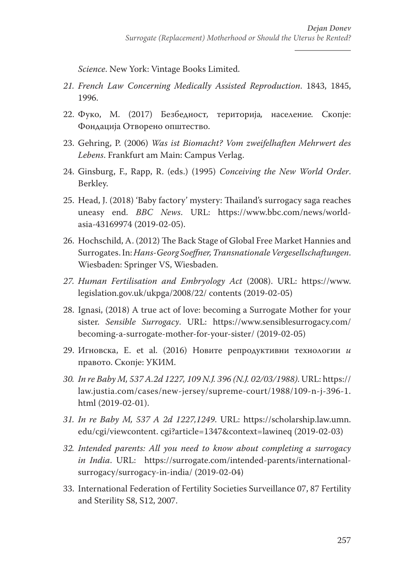*Science*. New York: Vintage Books Limited.

- *21. French Law Concerning Medically Assisted Reproduction*. 1843, 1845, 1996.
- 22. Фуко, М. (2017) Безбедност*,* територија*,* население*.* Скопје: Фондација Отворено општество.
- 23. Gehring, P. (2006) *Was ist Biomacht? Vom zweifelhaften Mehrwert des Lebens*. Frankfurt am Main: Campus Verlag.
- 24. Ginsburg, F., Rapp, R. (eds.) (1995) *Conceiving the New World Order*. Berkley.
- 25. Head, J. (2018) 'Baby factory' mystery: Thailand's surrogacy saga reaches uneasy end. *BBC News*. URL: https://www.bbc.com/news/worldasia-43169974 (2019-02-05).
- 26. Hochschild, A. (2012) The Back Stage of Global Free Market Наnnies and Surrogates. In: *Hans-Georg Soeffner, Transnationale Vergesellschaftungen*. Wiesbaden: Springer VS, Wiesbaden.
- *27. Human Fertilisation and Embryology Act* (2008). URL: https://www. legislation.gov.uk/ukpga/2008/22/ contents (2019-02-05)
- 28. Ignasi, (2018) A true act of love: becoming a Surrogate Mother for your sister. *Sensible Surrogacy*. URL: https://www.sensiblesurrogacy.com/ becoming-a-surrogate-mother-for-your-sister/ (2019-02-05)
- 29. Игновска, Е. et al. (2016) Новите репродуктивни технологии *и*  правото. Скопје: УКИМ.
- *30. In re Baby M, 537 A.2d 1227, 109 N.J. 396 (N.J. 02/03/1988)*. URL: https:// law.justia.com/cases/new-jersey/supreme-court/1988/109-n-j-396-1. html (2019-02-01).
- *31. In re Baby M, 537 A 2d 1227,1249*. URL: https://scholarship.law.umn. edu/cgi/viewcontent. cgi?article=1347&context=lawineq (2019-02-03)
- *32. Intended parents: All you need to know about completing a surrogacy in India*. URL: https://surrogate.com/intended-parents/internationalsurrogacy/surrogacy-in-india/ (2019-02-04)
- 33. International Federation of Fertility Societies Surveillance 07, 87 Fertility and Sterility S8, S12, 2007.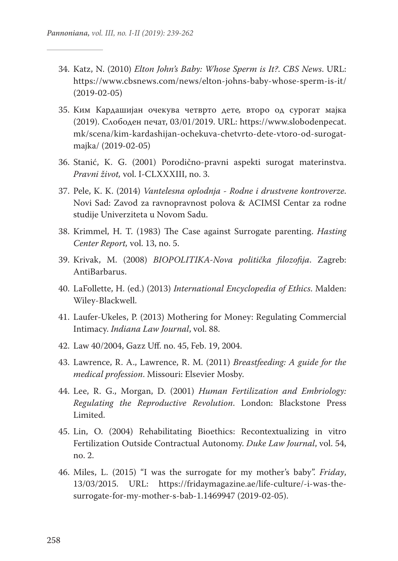- 34. Katz, N. (2010) *Elton John's Baby: Whose Sperm is It?*. *CBS News*. URL: https://www.cbsnews.com/news/elton-johns-baby-whose-sperm-is-it/ (2019-02-05)
- 35. Ким Кардашијан очекува четврто дете*,* второ од сурогат мајка (2019). Слободен печат, 03/01/2019. URL: https://www.slobodenpecat. mk/scena/kim-kardashijan-ochekuva-chetvrto-dete-vtoro-od-surogatmajka/ (2019-02-05)
- 36. Stanić, K. G. (2001) Porodično-pravni aspekti surogat materinstva. *Pravni život,* vol. I-CLXXXIII, no. 3.
- 37. Pele, K. K. (2014) *Vantelesna oplodnja Rodne i drustvene kontroverze*. Novi Sad: Zavod za ravnopravnost polova & ACIMSI Centar za rodne studije Univerziteta u Novom Sadu.
- 38. Krimmel, H. T. (1983) The Case against Surrogate parenting. *Hasting Center Report,* vol. 13, no. 5.
- 39. Krivak, M. (2008) *BIOPOLITIKA-Nova politička filozofija*. Zagreb: AntiBarbarus.
- 40. LaFollette, H. (ed.) (2013) *International Encyclopedia of Ethics*. Malden: Wiley-Blackwell.
- 41. Laufer-Ukeles, P. (2013) Mothering for Money: Regulating Commercial Intimacy. *Indiana Law Journal*, vol. 88.
- 42. Law 40/2004, Gazz Uff. no. 45, Feb. 19, 2004.
- 43. Lawrence, R. A., Lawrence, R. M. (2011) *Breastfeeding: A guide for the medical profession*. Missouri: Elsevier Mosby.
- 44. Lee, R. G., Morgan, D. (2001) *Human Fertilization and Embriology: Regulating the Reproductive Revolution*. London: Blackstone Press Limited.
- 45. Lin, О. (2004) Rehabilitating Bioethics: Recontextualizing in vitro Fertilization Outside Contractual Autonomy. *Duke Law Journal*, vol. 54, no. 2.
- 46. Miles, L. (2015) "I was the surrogate for my mother's baby". *Friday*, 13/03/2015. URL: https://fridaymagazine.ae/life-culture/-i-was-thesurrogate-for-my-mother-s-bab-1.1469947 (2019-02-05).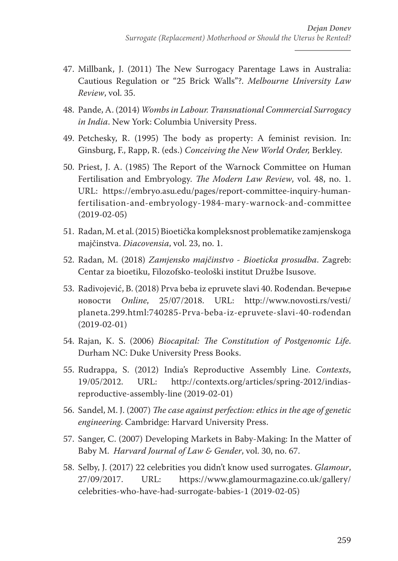- 47. Millbank, J. (2011) The New Surrogacy Parentage Laws in Australia: Cautious Regulation or "25 Brick Walls"?. *Melbourne University Law Review*, vol. 35.
- 48. Pande, A. (2014) *Wombs in Labour. Transnational Commercial Surrogacy in India*. New York: Columbia University Press.
- 49. Petchesky, R. (1995) The body as property: A feminist revision. In: Ginsburg, F., Rapp, R. (eds.) *Conceiving the New World Order,* Berkley.
- 50. Priest, J. A. (1985) The Report of the Warnock Committee on Human Fertilisation and Embryology. *The Modern Law Review*, vol. 48, no. 1. URL: https://embryo.asu.edu/pages/report-committee-inquiry-humanfertilisation-and-embryology-1984-mary-warnock-and-committee (2019-02-05)
- 51. Radan, M. et al. (2015) Bioetička kompleksnost problematike zamjenskoga majčinstva. *Diacovensia*, vol. 23, no. 1.
- 52. Radan, M. (2018) *Zamjensko majčinstvo Bioeticka prosudba*. Zagreb: Centar za bioetiku, Filozofsko-teološki institut Družbe Isusove.
- 53. Radivojević, B. (2018) Prva beba iz epruvete slavi 40. Rođendan. Вечерње новости *Online*, 25/07/2018. URL: http://www.novosti.rs/vesti/ planeta.299.html:740285-Prva-beba-iz-epruvete-slavi-40-rođendan (2019-02-01)
- 54. Rajan, K. S. (2006) *Biocapital: The Constitution of Postgenomic Life*. Durham NC: Duke University Press Books.
- 55. Rudrappa, S. (2012) India's Reproductive Assembly Line. *Contexts*, 19/05/2012. URL: http://contexts.org/articles/spring-2012/indiasreproductive-assembly-line (2019-02-01)
- 56. Sandel, M. J. (2007) *The case against perfection: ethics in the age of genetic engineering*. Cambridge: Harvard University Press.
- 57. Sanger, C. (2007) Developing Markets in Baby-Making: In the Matter of Baby M. *Harvard Journal of Law & Gender*, vol. 30, no. 67.
- 58. Selby, J. (2017) 22 celebrities you didn't know used surrogates. *Glamour*, 27/09/2017. URL: https://www.glamourmagazine.co.uk/gallery/ celebrities-who-have-had-surrogate-babies-1 (2019-02-05)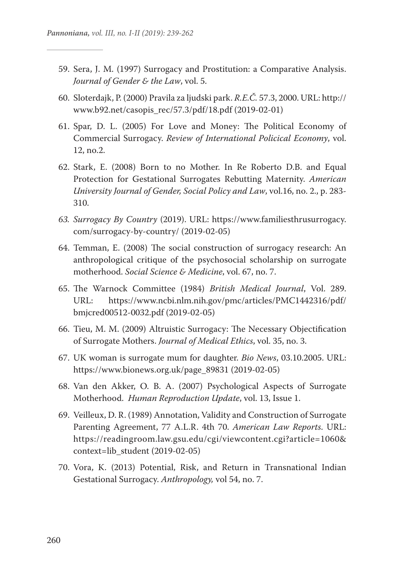- 59. Sera, J. M. (1997) Surrogacy and Prostitution: a Comparative Analysis. *Journal of Gender & the Law*, vol. 5.
- 60. Sloterdajk, P. (2000) Pravila za ljudski park. *R.E.Č.* 57.3, 2000. URL: http:// www.b92.net/casopis\_rec/57.3/pdf/18.pdf (2019-02-01)
- 61. Spar, D. L. (2005) For Love and Money: The Political Economy of Commercial Surrogacy. *Review of International Policical Economy*, vol. 12, no.2.
- 62. Stark, E. (2008) Born to no Mother. In Re Roberto D.B. and Equal Protection for Gestational Surrogates Rebutting Maternity. *American University Journal of Gender, Social Policy and Law*, vol.16, no. 2., p. 283- 310.
- *63. Surrogacy By Country* (2019). URL: https://www.familiesthrusurrogacy. com/surrogacy-by-country/ (2019-02-05)
- 64. Temman, E. (2008) The social construction of surrogacy research: An anthropological critique of the psychosocial scholarship on surrogate motherhood. *Social Science & Medicine*, vol. 67, no. 7.
- 65. The Warnock Committee (1984) *British Medical Journal*, Vol. 289. URL: https://www.ncbi.nlm.nih.gov/pmc/articles/PMC1442316/pdf/ bmjcred00512-0032.pdf (2019-02-05)
- 66. Tieu, M. M. (2009) Altruistic Surrogacy: The Necessary Objectification of Surrogate Mothers. *Journal of Medical Ethics*, vol. 35, no. 3.
- 67. UK woman is surrogate mum for daughter. *Bio News*, 03.10.2005. URL: https://www.bionews.org.uk/page\_89831 (2019-02-05)
- 68. Van den Akker, O. B. A. (2007) Psychological Aspects of Surrogate Motherhood. *Human Reproduction Update*, vol. 13, Issue 1.
- 69. Veilleux, D. R. (1989) Annotation, Validity and Construction of Surrogate Parenting Agreement, 77 A.L.R. 4th 70. *American Law Reports*. URL: https://readingroom.law.gsu.edu/cgi/viewcontent.cgi?article=1060& context=lib\_student (2019-02-05)
- 70. Vora, K. (2013) Potential, Risk, and Return in Transnational Indian Gestational Surrogacy. *Anthropology,* vol 54, no. 7.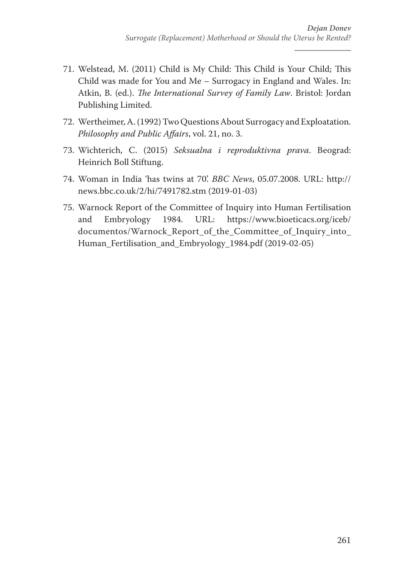- 71. Welstead, M. (2011) Child is My Child: This Child is Your Child; This Child was made for You and Me – Surrogacy in England and Wales. In: Atkin, B. (ed.). *The International Survey of Family Law*. Bristol: Jordan Publishing Limited.
- 72. Wertheimer, A. (1992) Two Questions About Surrogacy and Exploatation. *Philosophy and Public Affairs*, vol. 21, no. 3.
- 73. Wichterich, C. (2015) *Seksualna i reproduktivna prava*. Beograd: Heinrich Boll Stiftung.
- 74. Woman in India 'has twins at 70'. *BBC News*, 05.07.2008. URL: http:// news.bbc.co.uk/2/hi/7491782.stm (2019-01-03)
- 75. Warnock Report of the Committee of Inquiry into Human Fertilisation and Embryology 1984. URL: https://www.bioeticacs.org/iceb/ documentos/Warnock Report of the Committee of Inquiry into Human\_Fertilisation\_and\_Embryology\_1984.pdf (2019-02-05)